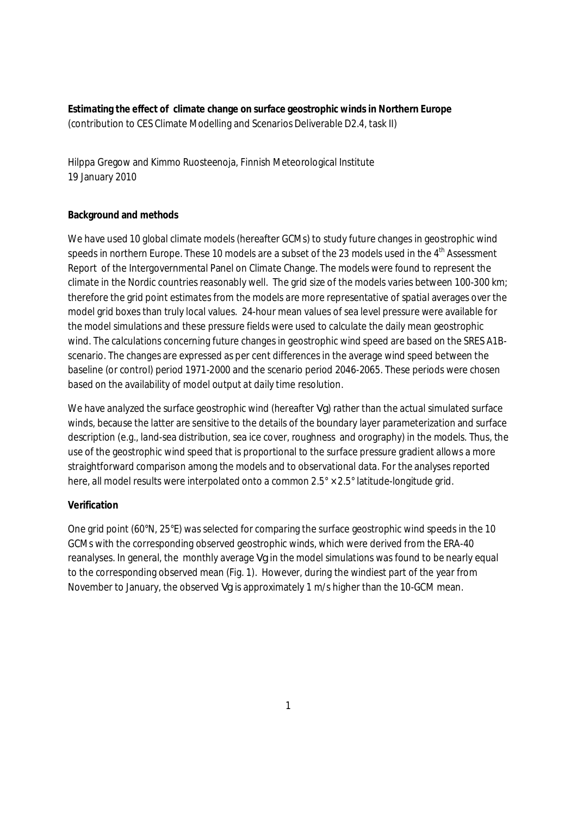**Estimating the effect of climate change on surface geostrophic winds in Northern Europe**  (contribution to CES Climate Modelling and Scenarios Deliverable D2.4, task II)

Hilppa Gregow and Kimmo Ruosteenoja, Finnish Meteorological Institute 19 January 2010

## **Background and methods**

We have used 10 global climate models (hereafter GCMs) to study future changes in geostrophic wind speeds in northern Europe. These 10 models are a subset of the 23 models used in the 4<sup>th</sup> Assessment Report of the Intergovernmental Panel on Climate Change. The models were found to represent the climate in the Nordic countries reasonably well. The grid size of the models varies between 100-300 km; therefore the grid point estimates from the models are more representative of spatial averages over the model grid boxes than truly local values. 24-hour mean values of sea level pressure were available for the model simulations and these pressure fields were used to calculate the daily mean geostrophic wind. The calculations concerning future changes in geostrophic wind speed are based on the SRES A1Bscenario. The changes are expressed as per cent differences in the average wind speed between the baseline (or control) period 1971-2000 and the scenario period 2046-2065. These periods were chosen based on the availability of model output at daily time resolution.

We have analyzed the surface geostrophic wind (hereafter *Vg*) rather than the actual simulated surface winds, because the latter are sensitive to the details of the boundary layer parameterization and surface description (e.g., land-sea distribution, sea ice cover, roughness and orography) in the models. Thus, the use of the geostrophic wind speed that is proportional to the surface pressure gradient allows a more straightforward comparison among the models and to observational data. For the analyses reported here, all model results were interpolated onto a common 2.5° × 2.5° latitude-longitude grid.

## **Verification**

One grid point (60°N, 25°E) was selected for comparing the surface geostrophic wind speeds in the 10 GCMs with the corresponding observed geostrophic winds, which were derived from the ERA-40 reanalyses. In general, the monthly average *Vg* in the model simulations was found to be nearly equal to the corresponding observed mean (Fig. 1). However, during the windiest part of the year from November to January, the observed *Vg* is approximately 1 m/s higher than the 10-GCM mean.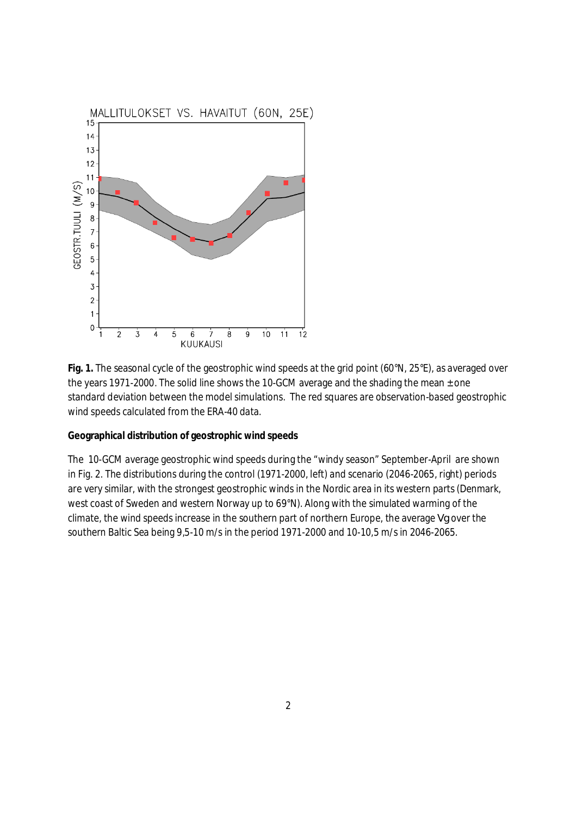

**Fig. 1.** The seasonal cycle of the geostrophic wind speeds at the grid point (60°N, 25°E), as averaged over the years 1971-2000. The solid line shows the 10-GCM average and the shading the mean  $\pm$  one standard deviation between the model simulations. The red squares are observation-based geostrophic wind speeds calculated from the ERA-40 data.

**Geographical distribution of geostrophic wind speeds** 

The 10-GCM average geostrophic wind speeds during the "windy season" September-April are shown in Fig. 2. The distributions during the control (1971-2000, left) and scenario (2046-2065, right) periods are very similar, with the strongest geostrophic winds in the Nordic area in its western parts (Denmark, west coast of Sweden and western Norway up to 69°N). Along with the simulated warming of the climate, the wind speeds increase in the southern part of northern Europe, the average *Vg* over the southern Baltic Sea being 9,5-10 m/s in the period 1971-2000 and 10-10,5 m/s in 2046-2065.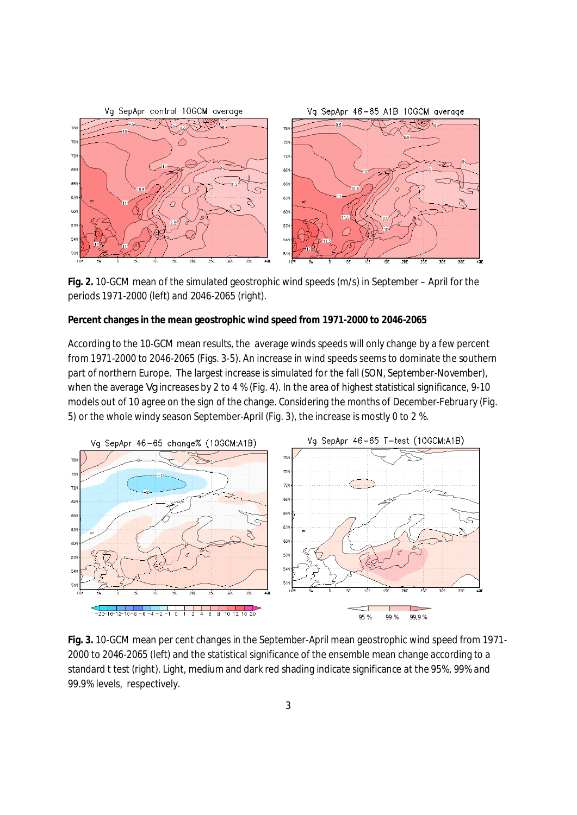

**Fig. 2.** 10-GCM mean of the simulated geostrophic wind speeds (m/s) in September – April for the periods 1971-2000 (left) and 2046-2065 (right).

**Percent changes in the mean geostrophic wind speed from 1971-2000 to 2046-2065** 

According to the 10-GCM mean results, the average winds speeds will only change by a few percent from 1971-2000 to 2046-2065 (Figs. 3-5). An increase in wind speeds seems to dominate the southern part of northern Europe. The largest increase is simulated for the fall (SON, September-November), when the average *Vg* increases by 2 to 4 % (Fig. 4). In the area of highest statistical significance, 9-10 models out of 10 agree on the sign of the change. Considering the months of December-February (Fig. 5) or the whole windy season September-April (Fig. 3), the increase is mostly 0 to 2 %.



**Fig. 3.** 10-GCM mean per cent changes in the September-April mean geostrophic wind speed from 1971- 2000 to 2046-2065 (left) and the statistical significance of the ensemble mean change according to a standard t test (right). Light, medium and dark red shading indicate significance at the 95%, 99% and 99.9% levels, respectively.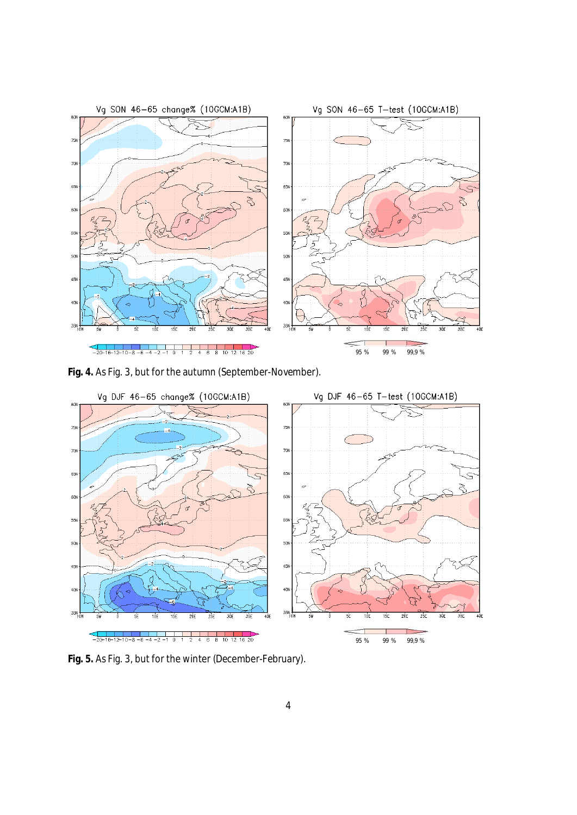

**Fig. 4.** As Fig. 3, but for the autumn (September-November).



**Fig. 5.** As Fig. 3, but for the winter (December-February).